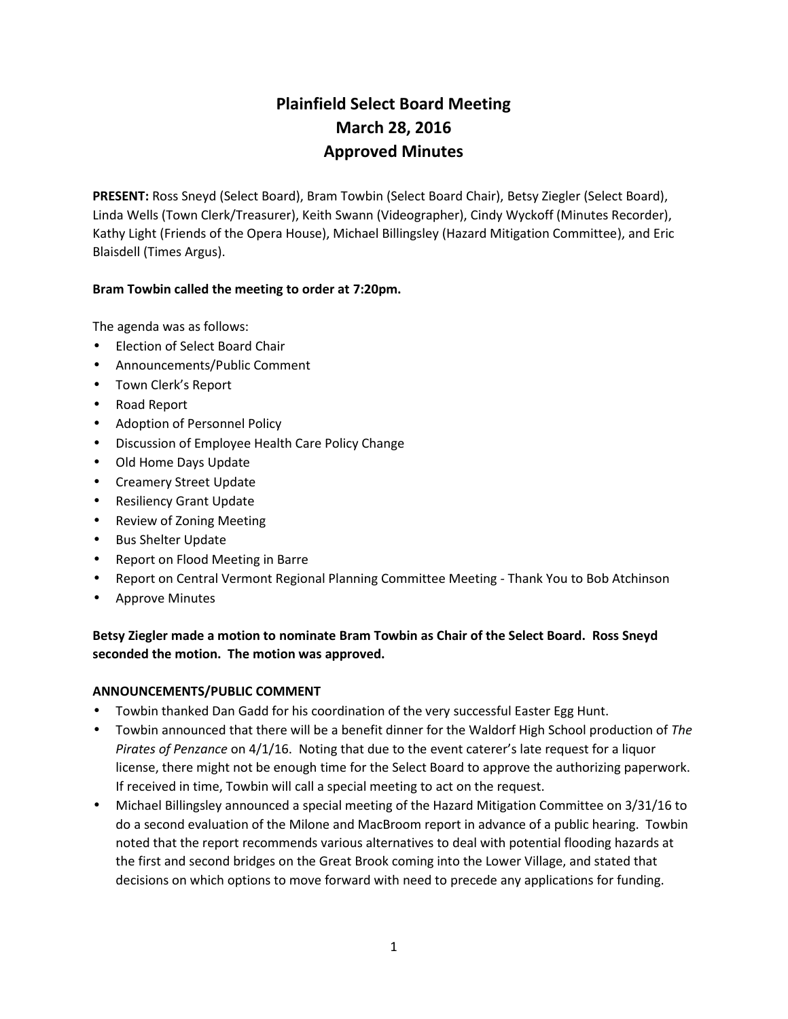# **Plainfield Select Board Meeting March 28, 2016 Approved Minutes**

**PRESENT:** Ross Sneyd (Select Board), Bram Towbin (Select Board Chair), Betsy Ziegler (Select Board), Linda Wells (Town Clerk/Treasurer), Keith Swann (Videographer), Cindy Wyckoff (Minutes Recorder), Kathy Light (Friends of the Opera House), Michael Billingsley (Hazard Mitigation Committee), and Eric Blaisdell (Times Argus).

# **Bram Towbin called the meeting to order at 7:20pm.**

The agenda was as follows:

- Election of Select Board Chair
- Announcements/Public Comment
- Town Clerk's Report
- Road Report
- Adoption of Personnel Policy
- Discussion of Employee Health Care Policy Change
- Old Home Days Update
- Creamery Street Update
- Resiliency Grant Update
- Review of Zoning Meeting
- Bus Shelter Update
- Report on Flood Meeting in Barre
- Report on Central Vermont Regional Planning Committee Meeting Thank You to Bob Atchinson
- Approve Minutes

**Betsy Ziegler made a motion to nominate Bram Towbin as Chair of the Select Board. Ross Sneyd seconded the motion. The motion was approved.**

### **ANNOUNCEMENTS/PUBLIC COMMENT**

- Towbin thanked Dan Gadd for his coordination of the very successful Easter Egg Hunt.
- Towbin announced that there will be a benefit dinner for the Waldorf High School production of *The Pirates of Penzance* on 4/1/16. Noting that due to the event caterer's late request for a liquor license, there might not be enough time for the Select Board to approve the authorizing paperwork. If received in time, Towbin will call a special meeting to act on the request.
- Michael Billingsley announced a special meeting of the Hazard Mitigation Committee on 3/31/16 to do a second evaluation of the Milone and MacBroom report in advance of a public hearing. Towbin noted that the report recommends various alternatives to deal with potential flooding hazards at the first and second bridges on the Great Brook coming into the Lower Village, and stated that decisions on which options to move forward with need to precede any applications for funding.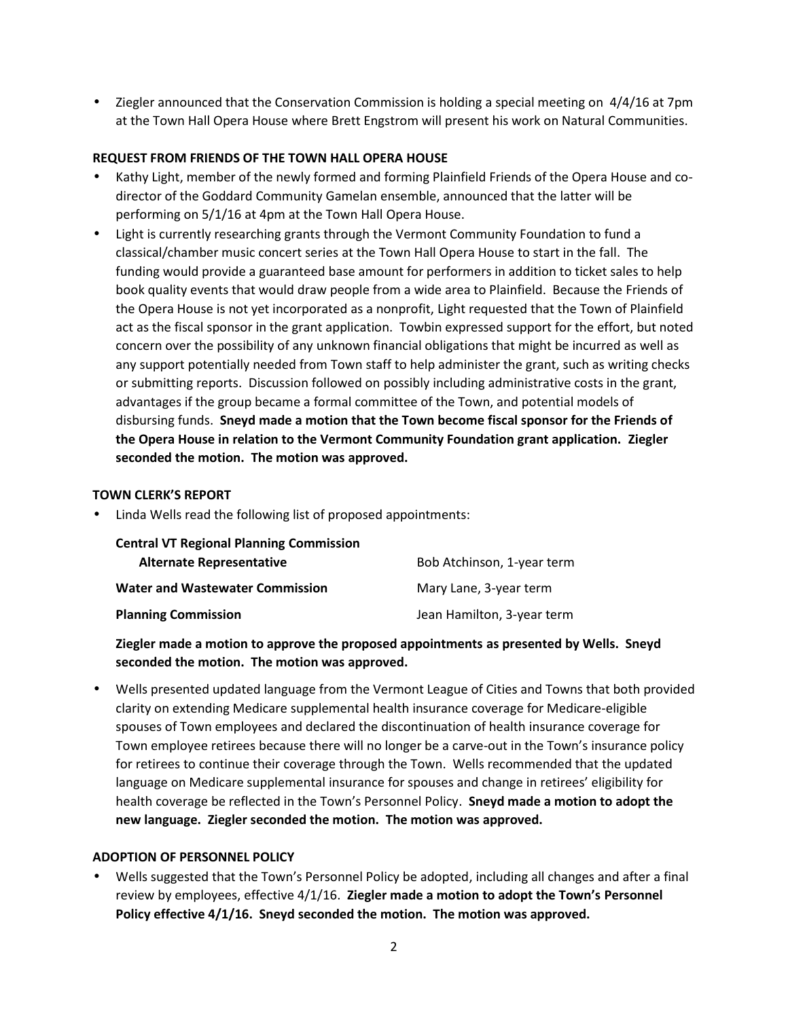• Ziegler announced that the Conservation Commission is holding a special meeting on 4/4/16 at 7pm at the Town Hall Opera House where Brett Engstrom will present his work on Natural Communities.

# **REQUEST FROM FRIENDS OF THE TOWN HALL OPERA HOUSE**

- Kathy Light, member of the newly formed and forming Plainfield Friends of the Opera House and co director of the Goddard Community Gamelan ensemble, announced that the latter will be performing on 5/1/16 at 4pm at the Town Hall Opera House.
- Light is currently researching grants through the Vermont Community Foundation to fund a classical/chamber music concert series at the Town Hall Opera House to start in the fall. The funding would provide a guaranteed base amount for performers in addition to ticket sales to help book quality events that would draw people from a wide area to Plainfield. Because the Friends of the Opera House is not yet incorporated as a nonprofit, Light requested that the Town of Plainfield act as the fiscal sponsor in the grant application. Towbin expressed support for the effort, but noted concern over the possibility of any unknown financial obligations that might be incurred as well as any support potentially needed from Town staff to help administer the grant, such as writing checks or submitting reports. Discussion followed on possibly including administrative costs in the grant, advantages if the group became a formal committee of the Town, and potential models of disbursing funds. **Sneyd made a motion that the Town become fiscal sponsor for the Friends of the Opera House in relation to the Vermont Community Foundation grant application. Ziegler seconded the motion. The motion was approved.**

#### **TOWN CLERK'S REPORT**

Linda Wells read the following list of proposed appointments:

| <b>Central VT Regional Planning Commission</b> |                            |
|------------------------------------------------|----------------------------|
| <b>Alternate Representative</b>                | Bob Atchinson, 1-year term |
| <b>Water and Wastewater Commission</b>         | Mary Lane, 3-year term     |
| <b>Planning Commission</b>                     | Jean Hamilton, 3-year term |

# **Ziegler made a motion to approve the proposed appointments as presented by Wells. Sneyd seconded the motion. The motion was approved.**

 Wells presented updated language from the Vermont League of Cities and Towns that both provided clarity on extending Medicare supplemental health insurance coverage for Medicare-eligible spouses of Town employees and declared the discontinuation of health insurance coverage for Town employee retirees because there will no longer be a carve-out in the Town's insurance policy for retirees to continue their coverage through the Town. Wells recommended that the updated language on Medicare supplemental insurance for spouses and change in retirees' eligibility for health coverage be reflected in the Town's Personnel Policy. **Sneyd made a motion to adopt the new language. Ziegler seconded the motion. The motion was approved.**

### **ADOPTION OF PERSONNEL POLICY**

 Wells suggested that the Town's Personnel Policy be adopted, including all changes and after a final review by employees, effective 4/1/16. **Ziegler made a motion to adopt the Town's Personnel Policy effective 4/1/16. Sneyd seconded the motion. The motion was approved.**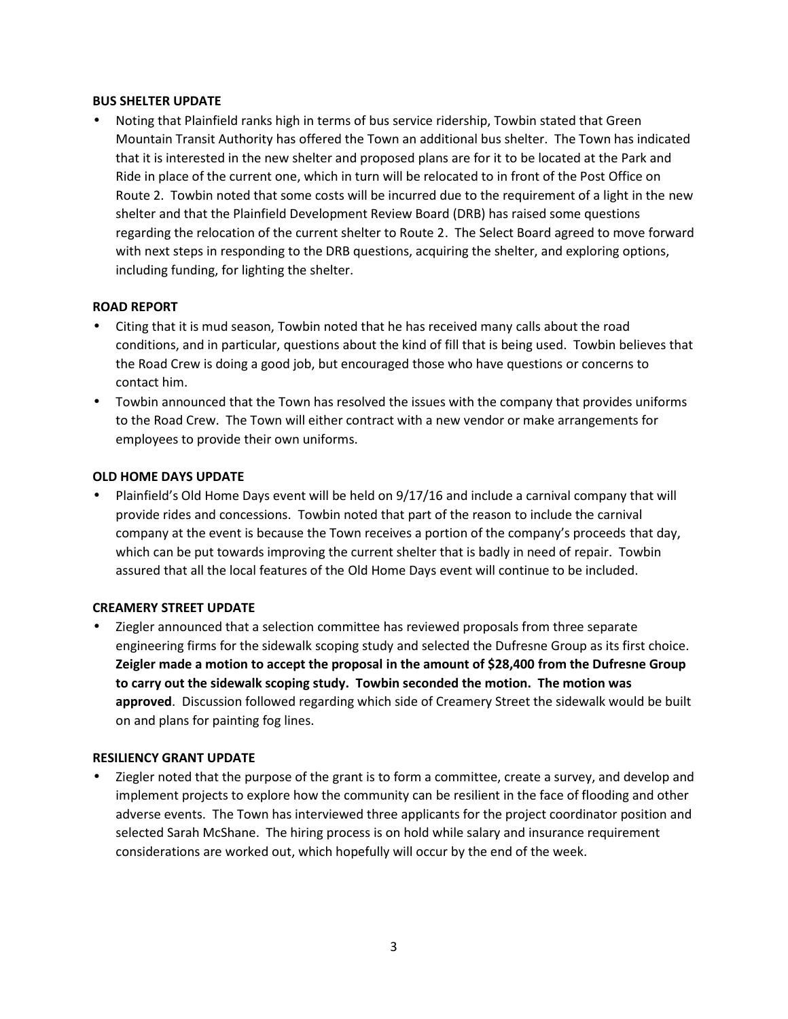#### **BUS SHELTER UPDATE**

 Noting that Plainfield ranks high in terms of bus service ridership, Towbin stated that Green Mountain Transit Authority has offered the Town an additional bus shelter. The Town has indicated that it is interested in the new shelter and proposed plans are for it to be located at the Park and Ride in place of the current one, which in turn will be relocated to in front of the Post Office on Route 2. Towbin noted that some costs will be incurred due to the requirement of a light in the new shelter and that the Plainfield Development Review Board (DRB) has raised some questions regarding the relocation of the current shelter to Route 2. The Select Board agreed to move forward with next steps in responding to the DRB questions, acquiring the shelter, and exploring options, including funding, for lighting the shelter.

### **ROAD REPORT**

- Citing that it is mud season, Towbin noted that he has received many calls about the road conditions, and in particular, questions about the kind of fill that is being used. Towbin believes that the Road Crew is doing a good job, but encouraged those who have questions or concerns to contact him.
- Towbin announced that the Town has resolved the issues with the company that provides uniforms to the Road Crew. The Town will either contract with a new vendor or make arrangements for employees to provide their own uniforms.

### **OLD HOME DAYS UPDATE**

 Plainfield's Old Home Days event will be held on 9/17/16 and include a carnival company that will provide rides and concessions. Towbin noted that part of the reason to include the carnival company at the event is because the Town receives a portion of the company's proceeds that day, which can be put towards improving the current shelter that is badly in need of repair. Towbin assured that all the local features of the Old Home Days event will continue to be included.

### **CREAMERY STREET UPDATE**

 Ziegler announced that a selection committee has reviewed proposals from three separate engineering firms for the sidewalk scoping study and selected the Dufresne Group as its first choice. **Zeigler made a motion to accept the proposal in the amount of \$28,400 from the Dufresne Group to carry out the sidewalk scoping study. Towbin seconded the motion. The motion was approved**. Discussion followed regarding which side of Creamery Street the sidewalk would be built on and plans for painting fog lines.

### **RESILIENCY GRANT UPDATE**

 Ziegler noted that the purpose of the grant is to form a committee, create a survey, and develop and implement projects to explore how the community can be resilient in the face of flooding and other adverse events. The Town has interviewed three applicants for the project coordinator position and selected Sarah McShane. The hiring process is on hold while salary and insurance requirement considerations are worked out, which hopefully will occur by the end of the week.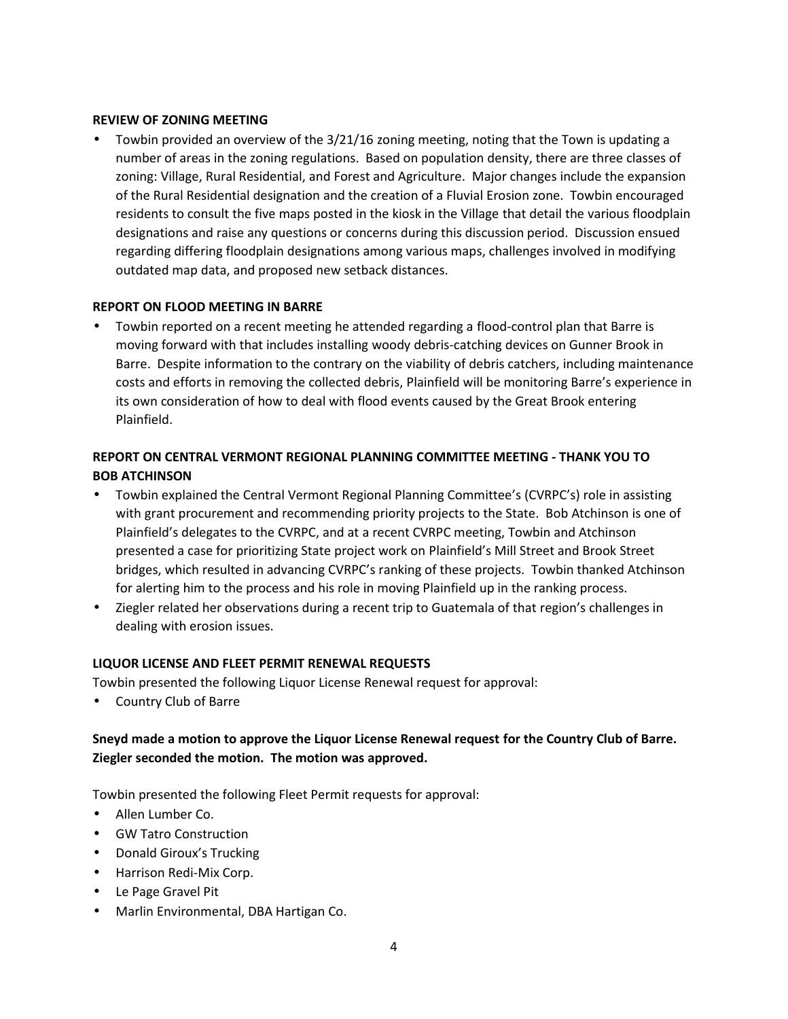#### **REVIEW OF ZONING MEETING**

 Towbin provided an overview of the 3/21/16 zoning meeting, noting that the Town is updating a number of areas in the zoning regulations. Based on population density, there are three classes of zoning: Village, Rural Residential, and Forest and Agriculture. Major changes include the expansion of the Rural Residential designation and the creation of a Fluvial Erosion zone. Towbin encouraged residents to consult the five maps posted in the kiosk in the Village that detail the various floodplain designations and raise any questions or concerns during this discussion period. Discussion ensued regarding differing floodplain designations among various maps, challenges involved in modifying outdated map data, and proposed new setback distances.

### **REPORT ON FLOOD MEETING IN BARRE**

 Towbin reported on a recent meeting he attended regarding a flood-control plan that Barre is moving forward with that includes installing woody debris-catching devices on Gunner Brook in Barre. Despite information to the contrary on the viability of debris catchers, including maintenance costs and efforts in removing the collected debris, Plainfield will be monitoring Barre's experience in its own consideration of how to deal with flood events caused by the Great Brook entering Plainfield.

# **REPORT ON CENTRAL VERMONT REGIONAL PLANNING COMMITTEE MEETING - THANK YOU TO BOB ATCHINSON**

- Towbin explained the Central Vermont Regional Planning Committee's (CVRPC's) role in assisting with grant procurement and recommending priority projects to the State. Bob Atchinson is one of Plainfield's delegates to the CVRPC, and at a recent CVRPC meeting, Towbin and Atchinson presented a case for prioritizing State project work on Plainfield's Mill Street and Brook Street bridges, which resulted in advancing CVRPC's ranking of these projects. Towbin thanked Atchinson for alerting him to the process and his role in moving Plainfield up in the ranking process.
- Ziegler related her observations during a recent trip to Guatemala of that region's challenges in dealing with erosion issues.

### **LIQUOR LICENSE AND FLEET PERMIT RENEWAL REQUESTS**

Towbin presented the following Liquor License Renewal request for approval:

Country Club of Barre

# **Sneyd made a motion to approve the Liquor License Renewal request for the Country Club of Barre. Ziegler seconded the motion. The motion was approved.**

Towbin presented the following Fleet Permit requests for approval:

- Allen Lumber Co.
- GW Tatro Construction
- Donald Giroux's Trucking
- Harrison Redi-Mix Corp.
- Le Page Gravel Pit
- Marlin Environmental, DBA Hartigan Co.